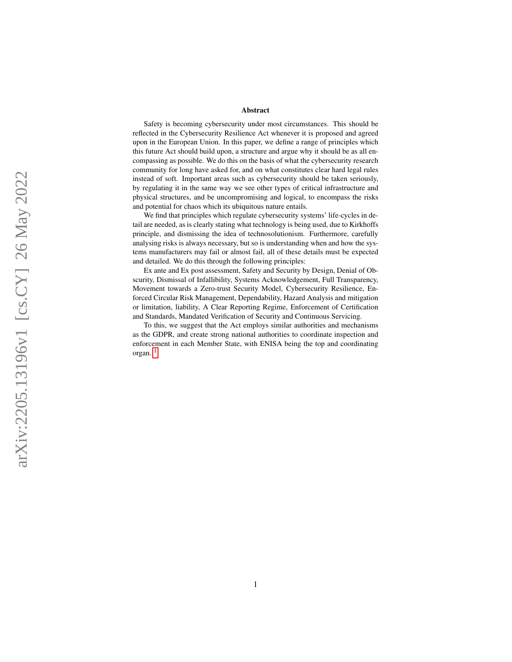#### Abstract

Safety is becoming cybersecurity under most circumstances. This should be reflected in the Cybersecurity Resilience Act whenever it is proposed and agreed upon in the European Union. In this paper, we define a range of principles which this future Act should build upon, a structure and argue why it should be as all encompassing as possible. We do this on the basis of what the cybersecurity research community for long have asked for, and on what constitutes clear hard legal rules instead of soft. Important areas such as cybersecurity should be taken seriously, by regulating it in the same way we see other types of critical infrastructure and physical structures, and be uncompromising and logical, to encompass the risks and potential for chaos which its ubiquitous nature entails.

We find that principles which regulate cybersecurity systems' life-cycles in detail are needed, as is clearly stating what technology is being used, due to Kirkhoffs principle, and dismissing the idea of technosolutionism. Furthermore, carefully analysing risks is always necessary, but so is understanding when and how the systems manufacturers may fail or almost fail, all of these details must be expected and detailed. We do this through the following principles:

Ex ante and Ex post assessment, Safety and Security by Design, Denial of Obscurity, Dismissal of Infallibility, Systems Acknowledgement, Full Transparency, Movement towards a Zero-trust Security Model, Cybersecurity Resilience, Enforced Circular Risk Management, Dependability, Hazard Analysis and mitigation or limitation, liability, A Clear Reporting Regime, Enforcement of Certification and Standards, Mandated Verification of Security and Continuous Servicing.

To this, we suggest that the Act employs similar authorities and mechanisms as the GDPR, and create strong national authorities to coordinate inspection and enforcement in each Member State, with ENISA being the top and coordinating organ. 1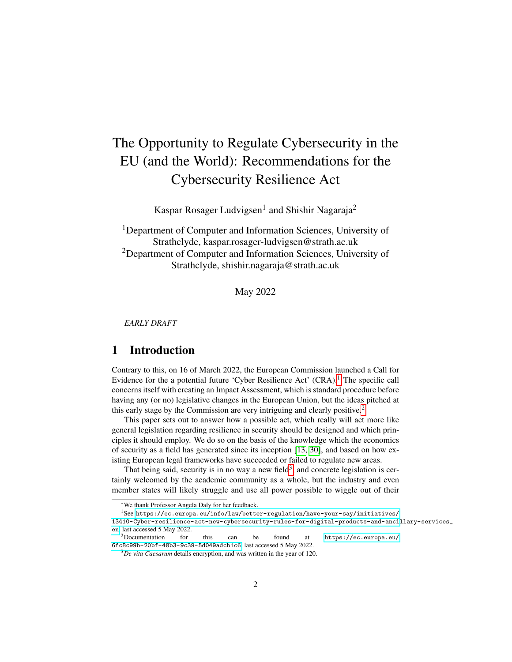# The Opportunity to Regulate Cybersecurity in the EU (and the World): Recommendations for the Cybersecurity Resilience Act

Kaspar Rosager Ludvigsen<sup>1</sup> and Shishir Nagaraja<sup>2</sup>

<sup>1</sup>Department of Computer and Information Sciences, University of Strathclyde, kaspar.rosager-ludvigsen@strath.ac.uk <sup>2</sup>Department of Computer and Information Sciences, University of Strathclyde, shishir.nagaraja@strath.ac.uk

May 2022

*EARLY DRAFT*

# 1 Introduction

Contrary to this, on 16 of March 2022, the European Commission launched a Call for Evidence for the a potential future 'Cyber Resilience Act'  $(CRA)$ .<sup>[1](#page-1-0)</sup> The specific call concerns itself with creating an Impact Assessment, which is standard procedure before having any (or no) legislative changes in the European Union, but the ideas pitched at this early stage by the Commission are very intriguing and clearly positive.<sup>[2](#page-1-1)</sup>

This paper sets out to answer how a possible act, which really will act more like general legislation regarding resilience in security should be designed and which principles it should employ. We do so on the basis of the knowledge which the economics of security as a field has generated since its inception [\[13,](#page-18-0) [30\]](#page-20-0), and based on how existing European legal frameworks have succeeded or failed to regulate new areas.

That being said, security is in no way a new field<sup>[3](#page-1-2)</sup>, and concrete legislation is certainly welcomed by the academic community as a whole, but the industry and even member states will likely struggle and use all power possible to wiggle out of their

<span id="page-1-0"></span><sup>\*</sup>We thank Professor Angela Daly for her feedback.

 $\rm ^1 Sec~https://ec.europa.eu/info/law/better-regulation/have-your-say/initiations/$ 

[<sup>13410-</sup>Cyber-resilience-act-new-cybersecurity-rules-for-digital-products-and-ancil](https://ec.europa.eu/info/law/better-regulation/have-your-say/initiatives/13410-Cyber-resilience-act-new-cybersecurity-rules-for-digital-products-and-ancillary-services_en)lary-services\_ [en](https://ec.europa.eu/info/law/better-regulation/have-your-say/initiatives/13410-Cyber-resilience-act-new-cybersecurity-rules-for-digital-products-and-ancillary-services_en), last accessed 5 May 2022.

<span id="page-1-1"></span>for this can be found at [https://ec.europa.eu/](https://ec.europa.eu/6fc8c99b-20bf-48b3-9c39-5d049adcb1c6) [6fc8c99b-20bf-48b3-9c39-5d049adcb1c6](https://ec.europa.eu/6fc8c99b-20bf-48b3-9c39-5d049adcb1c6), last accessed 5 May 2022.

<span id="page-1-2"></span><sup>3</sup>*De vita Caesarum* details encryption, and was written in the year of 120.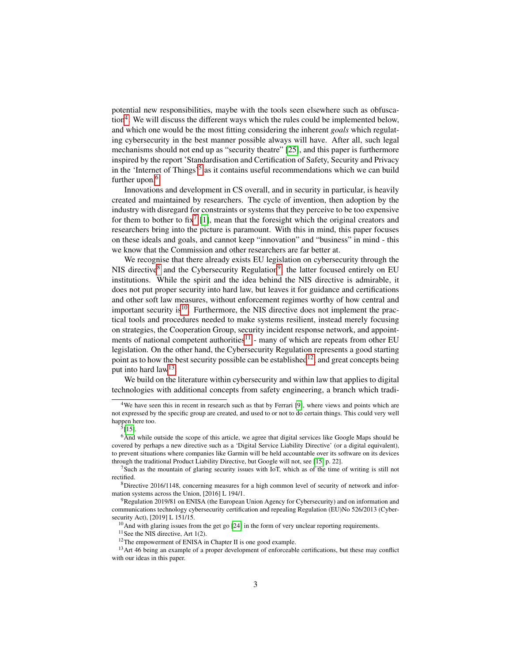potential new responsibilities, maybe with the tools seen elsewhere such as obfusca-tion<sup>[4](#page-2-0)</sup>. We will discuss the different ways which the rules could be implemented below, and which one would be the most fitting considering the inherent *goals* which regulating cybersecurity in the best manner possible always will have. After all, such legal mechanisms should not end up as "security theatre" [\[25\]](#page-19-0), and this paper is furthermore inspired by the report 'Standardisation and Certification of Safety, Security and Privacy in the 'Internet of Things'<sup>[5](#page-2-1)</sup> as it contains useful recommendations which we can build further upon.<sup>[6](#page-2-2)</sup>

Innovations and development in CS overall, and in security in particular, is heavily created and maintained by researchers. The cycle of invention, then adoption by the industry with disregard for constraints or systems that they perceive to be too expensive for them to bother to fix<sup>[7](#page-2-3)</sup> [\[1\]](#page-17-0), mean that the foresight which the original creators and researchers bring into the picture is paramount. With this in mind, this paper focuses on these ideals and goals, and cannot keep "innovation" and "business" in mind - this we know that the Commission and other researchers are far better at.

We recognise that there already exists EU legislation on cybersecurity through the NIS directive<sup>[8](#page-2-4)</sup> and the Cybersecurity Regulation<sup>[9](#page-2-5)</sup>, the latter focused entirely on EU institutions. While the spirit and the idea behind the NIS directive is admirable, it does not put proper security into hard law, but leaves it for guidance and certifications and other soft law measures, without enforcement regimes worthy of how central and important security is $^{10}$  $^{10}$  $^{10}$ . Furthermore, the NIS directive does not implement the practical tools and procedures needed to make systems resilient, instead merely focusing on strategies, the Cooperation Group, security incident response network, and appointments of national competent authorities $11$  - many of which are repeats from other EU legislation. On the other hand, the Cybersecurity Regulation represents a good starting point as to how the best security possible can be established<sup>[12](#page-2-8)</sup>, and great concepts being put into hard law<sup>[13](#page-2-9)</sup>.

We build on the literature within cybersecurity and within law that applies to digital technologies with additional concepts from safety engineering, a branch which tradi-

<span id="page-2-0"></span><sup>&</sup>lt;sup>4</sup>We have seen this in recent in research such as that by Ferrari [\[9\]](#page-18-1), where views and points which are not expressed by the specific group are created, and used to or not to do certain things. This could very well happen here too.

<span id="page-2-2"></span><span id="page-2-1"></span><sup>5</sup> [\[15\]](#page-19-1).

 $<sup>6</sup>$  And while outside the scope of this article, we agree that digital services like Google Maps should be</sup> covered by perhaps a new directive such as a 'Digital Service Liability Directive' (or a digital equivalent), to prevent situations where companies like Garmin will be held accountable over its software on its devices through the traditional Product Liability Directive, but Google will not, see [\[15,](#page-19-1) p. 22].

<span id="page-2-3"></span><sup>&</sup>lt;sup>7</sup>Such as the mountain of glaring security issues with IoT, which as of the time of writing is still not rectified.

<span id="page-2-4"></span><sup>8</sup>Directive 2016/1148, concerning measures for a high common level of security of network and information systems across the Union, [2016] L 194/1.

<span id="page-2-5"></span><sup>&</sup>lt;sup>9</sup>Regulation 2019/81 on ENISA (the European Union Agency for Cybersecurity) and on information and communications technology cybersecurity certification and repealing Regulation (EU)No 526/2013 (Cybersecurity Act), [2019] L 151/15.

<span id="page-2-6"></span> $10$ And with glaring issues from the get go [\[24\]](#page-19-2) in the form of very unclear reporting requirements.

<span id="page-2-7"></span> $11$ See the NIS directive, Art 1(2).

<span id="page-2-9"></span><span id="page-2-8"></span><sup>12</sup>The empowerment of ENISA in Chapter II is one good example.

<sup>&</sup>lt;sup>13</sup>Art 46 being an example of a proper development of enforceable certifications, but these may conflict with our ideas in this paper.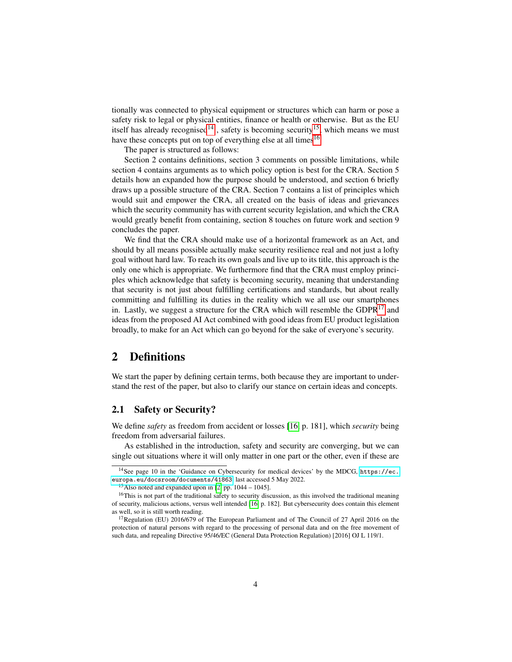tionally was connected to physical equipment or structures which can harm or pose a safety risk to legal or physical entities, finance or health or otherwise. But as the EU itself has already recognised<sup>[14](#page-3-0)</sup>, safety is becoming security<sup>[15](#page-3-1)</sup>, which means we must have these concepts put on top of everything else at all times<sup>[16](#page-3-2)</sup>

The paper is structured as follows:

Section 2 contains definitions, section 3 comments on possible limitations, while section 4 contains arguments as to which policy option is best for the CRA. Section 5 details how an expanded how the purpose should be understood, and section 6 briefly draws up a possible structure of the CRA. Section 7 contains a list of principles which would suit and empower the CRA, all created on the basis of ideas and grievances which the security community has with current security legislation, and which the CRA would greatly benefit from containing, section 8 touches on future work and section 9 concludes the paper.

We find that the CRA should make use of a horizontal framework as an Act, and should by all means possible actually make security resilience real and not just a lofty goal without hard law. To reach its own goals and live up to its title, this approach is the only one which is appropriate. We furthermore find that the CRA must employ principles which acknowledge that safety is becoming security, meaning that understanding that security is not just about fulfilling certifications and standards, but about really committing and fulfilling its duties in the reality which we all use our smartphones in. Lastly, we suggest a structure for the CRA which will resemble the  $GDPR<sup>17</sup>$  $GDPR<sup>17</sup>$  $GDPR<sup>17</sup>$  and ideas from the proposed AI Act combined with good ideas from EU product legislation broadly, to make for an Act which can go beyond for the sake of everyone's security.

# 2 Definitions

We start the paper by defining certain terms, both because they are important to understand the rest of the paper, but also to clarify our stance on certain ideas and concepts.

#### 2.1 Safety or Security?

We define *safety* as freedom from accident or losses [\[16,](#page-19-3) p. 181], which *security* being freedom from adversarial failures.

As established in the introduction, safety and security are converging, but we can single out situations where it will only matter in one part or the other, even if these are

<span id="page-3-0"></span><sup>14</sup>See page 10 in the 'Guidance on Cybersecurity for medical devices' by the MDCG, [https://ec.](https://ec.europa.eu/docsroom/documents/41863) [europa.eu/docsroom/documents/41863](https://ec.europa.eu/docsroom/documents/41863), last accessed 5 May 2022.

<span id="page-3-2"></span><span id="page-3-1"></span><sup>&</sup>lt;sup>15</sup>Also noted and expanded upon in [\[2,](#page-17-1) pp.  $1044 - 1045$ ].

<sup>&</sup>lt;sup>16</sup>This is not part of the traditional safety to security discussion, as this involved the traditional meaning of security, malicious actions, versus well intended [\[16,](#page-19-3) p. 182]. But cybersecurity does contain this element as well, so it is still worth reading.

<span id="page-3-3"></span><sup>&</sup>lt;sup>17</sup>Regulation (EU) 2016/679 of The European Parliament and of The Council of 27 April 2016 on the protection of natural persons with regard to the processing of personal data and on the free movement of such data, and repealing Directive 95/46/EC (General Data Protection Regulation) [2016] OJ L 119/1.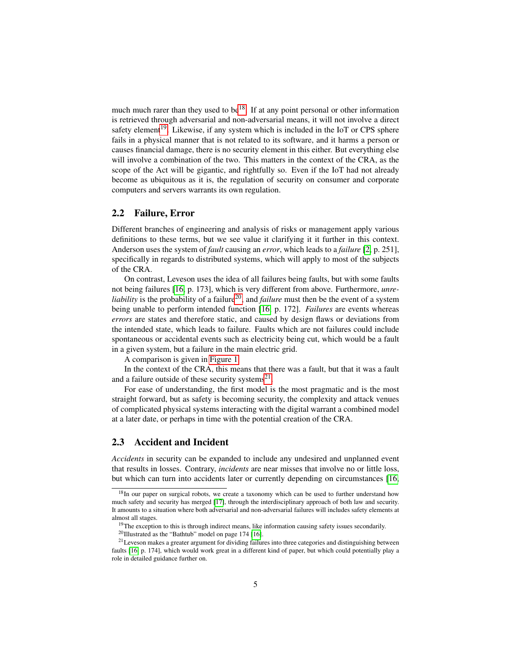much much rarer than they used to be<sup>[18](#page-4-0)</sup>. If at any point personal or other information is retrieved through adversarial and non-adversarial means, it will not involve a direct safety element<sup>[19](#page-4-1)</sup>. Likewise, if any system which is included in the IoT or CPS sphere fails in a physical manner that is not related to its software, and it harms a person or causes financial damage, there is no security element in this either. But everything else will involve a combination of the two. This matters in the context of the CRA, as the scope of the Act will be gigantic, and rightfully so. Even if the IoT had not already become as ubiquitous as it is, the regulation of security on consumer and corporate computers and servers warrants its own regulation.

#### 2.2 Failure, Error

Different branches of engineering and analysis of risks or management apply various definitions to these terms, but we see value it clarifying it it further in this context. Anderson uses the system of *fault* causing an *error*, which leads to a *failure* [\[2,](#page-17-1) p. 251], specifically in regards to distributed systems, which will apply to most of the subjects of the CRA.

On contrast, Leveson uses the idea of all failures being faults, but with some faults not being failures [\[16,](#page-19-3) p. 173], which is very different from above. Furthermore, *unreliability* is the probability of a failure<sup>[20](#page-4-2)</sup>, and *failure* must then be the event of a system being unable to perform intended function [\[16,](#page-19-3) p. 172]. *Failures* are events whereas *errors* are states and therefore static, and caused by design flaws or deviations from the intended state, which leads to failure. Faults which are not failures could include spontaneous or accidental events such as electricity being cut, which would be a fault in a given system, but a failure in the main electric grid.

A comparison is given in [Figure 1.](#page-21-0)

In the context of the CRA, this means that there was a fault, but that it was a fault and a failure outside of these security systems $^{21}$  $^{21}$  $^{21}$ .

For ease of understanding, the first model is the most pragmatic and is the most straight forward, but as safety is becoming security, the complexity and attack venues of complicated physical systems interacting with the digital warrant a combined model at a later date, or perhaps in time with the potential creation of the CRA.

## 2.3 Accident and Incident

*Accidents* in security can be expanded to include any undesired and unplanned event that results in losses. Contrary, *incidents* are near misses that involve no or little loss, but which can turn into accidents later or currently depending on circumstances [\[16,](#page-19-3)

<span id="page-4-0"></span> $18$ In our paper on surgical robots, we create a taxonomy which can be used to further understand how much safety and security has merged [\[17\]](#page-19-4), through the interdisciplinary approach of both law and security. It amounts to a situation where both adversarial and non-adversarial failures will includes safety elements at almost all stages.

<span id="page-4-1"></span><sup>&</sup>lt;sup>19</sup>The exception to this is through indirect means, like information causing safety issues secondarily.

<span id="page-4-3"></span><span id="page-4-2"></span><sup>&</sup>lt;sup>20</sup>Illustrated as the "Bathtub" model on page 174 [\[16\]](#page-19-3).

<sup>&</sup>lt;sup>21</sup>Leveson makes a greater argument for dividing failures into three categories and distinguishing between faults [\[16,](#page-19-3) p. 174], which would work great in a different kind of paper, but which could potentially play a role in detailed guidance further on.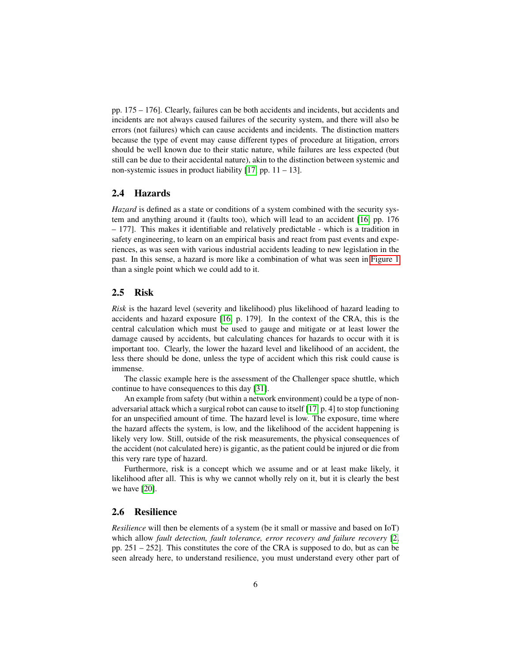pp. 175 – 176]. Clearly, failures can be both accidents and incidents, but accidents and incidents are not always caused failures of the security system, and there will also be errors (not failures) which can cause accidents and incidents. The distinction matters because the type of event may cause different types of procedure at litigation, errors should be well known due to their static nature, while failures are less expected (but still can be due to their accidental nature), akin to the distinction between systemic and non-systemic issues in product liability  $[17, pp. 11 - 13]$  $[17, pp. 11 - 13]$ .

### 2.4 Hazards

*Hazard* is defined as a state or conditions of a system combined with the security system and anything around it (faults too), which will lead to an accident [\[16,](#page-19-3) pp. 176 – 177]. This makes it identifiable and relatively predictable - which is a tradition in safety engineering, to learn on an empirical basis and react from past events and experiences, as was seen with various industrial accidents leading to new legislation in the past. In this sense, a hazard is more like a combination of what was seen in [Figure 1](#page-21-0) than a single point which we could add to it.

#### 2.5 Risk

*Risk* is the hazard level (severity and likelihood) plus likelihood of hazard leading to accidents and hazard exposure [\[16,](#page-19-3) p. 179]. In the context of the CRA, this is the central calculation which must be used to gauge and mitigate or at least lower the damage caused by accidents, but calculating chances for hazards to occur with it is important too. Clearly, the lower the hazard level and likelihood of an accident, the less there should be done, unless the type of accident which this risk could cause is immense.

The classic example here is the assessment of the Challenger space shuttle, which continue to have consequences to this day [\[31\]](#page-20-1).

An example from safety (but within a network environment) could be a type of nonadversarial attack which a surgical robot can cause to itself [\[17,](#page-19-4) p. 4] to stop functioning for an unspecified amount of time. The hazard level is low. The exposure, time where the hazard affects the system, is low, and the likelihood of the accident happening is likely very low. Still, outside of the risk measurements, the physical consequences of the accident (not calculated here) is gigantic, as the patient could be injured or die from this very rare type of hazard.

Furthermore, risk is a concept which we assume and or at least make likely, it likelihood after all. This is why we cannot wholly rely on it, but it is clearly the best we have [\[20\]](#page-19-5).

### <span id="page-5-0"></span>2.6 Resilience

*Resilience* will then be elements of a system (be it small or massive and based on IoT) which allow *fault detection, fault tolerance, error recovery and failure recovery* [\[2,](#page-17-1) pp. 251 – 252]. This constitutes the core of the CRA is supposed to do, but as can be seen already here, to understand resilience, you must understand every other part of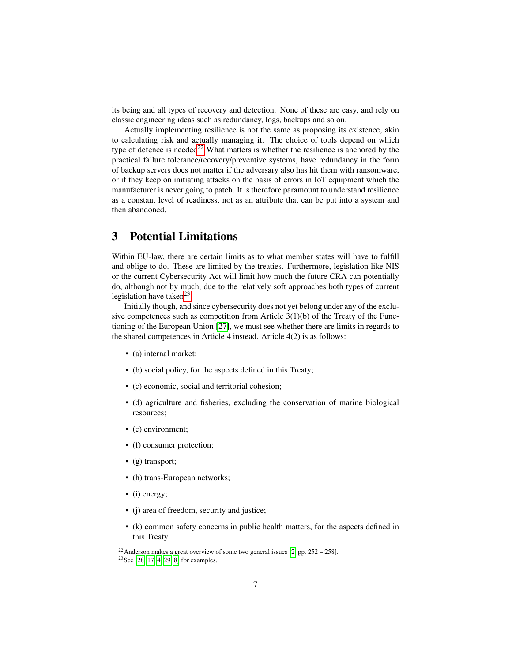its being and all types of recovery and detection. None of these are easy, and rely on classic engineering ideas such as redundancy, logs, backups and so on.

Actually implementing resilience is not the same as proposing its existence, akin to calculating risk and actually managing it. The choice of tools depend on which type of defence is needed<sup>[22](#page-6-0)</sup> What matters is whether the resilience is anchored by the practical failure tolerance/recovery/preventive systems, have redundancy in the form of backup servers does not matter if the adversary also has hit them with ransomware, or if they keep on initiating attacks on the basis of errors in IoT equipment which the manufacturer is never going to patch. It is therefore paramount to understand resilience as a constant level of readiness, not as an attribute that can be put into a system and then abandoned.

# 3 Potential Limitations

Within EU-law, there are certain limits as to what member states will have to fulfill and oblige to do. These are limited by the treaties. Furthermore, legislation like NIS or the current Cybersecurity Act will limit how much the future CRA can potentially do, although not by much, due to the relatively soft approaches both types of current legislation have taken<sup>[23](#page-6-1)</sup>.

Initially though, and since cybersecurity does not yet belong under any of the exclusive competences such as competition from Article  $3(1)(b)$  of the Treaty of the Functioning of the European Union [\[27\]](#page-19-6), we must see whether there are limits in regards to the shared competences in Article 4 instead. Article 4(2) is as follows:

- (a) internal market;
- (b) social policy, for the aspects defined in this Treaty;
- (c) economic, social and territorial cohesion;
- (d) agriculture and fisheries, excluding the conservation of marine biological resources;
- (e) environment;
- (f) consumer protection;
- (g) transport;
- (h) trans-European networks;
- (i) energy;
- (j) area of freedom, security and justice;
- (k) common safety concerns in public health matters, for the aspects defined in this Treaty

<span id="page-6-0"></span><sup>&</sup>lt;sup>22</sup>Anderson makes a great overview of some two general issues [\[2,](#page-17-1) pp.  $252 - 258$ ].

<span id="page-6-1"></span><sup>23</sup>See [\[28,](#page-20-2) [17,](#page-19-4) [4,](#page-18-2) [29,](#page-20-3) [8\]](#page-18-3) for examples.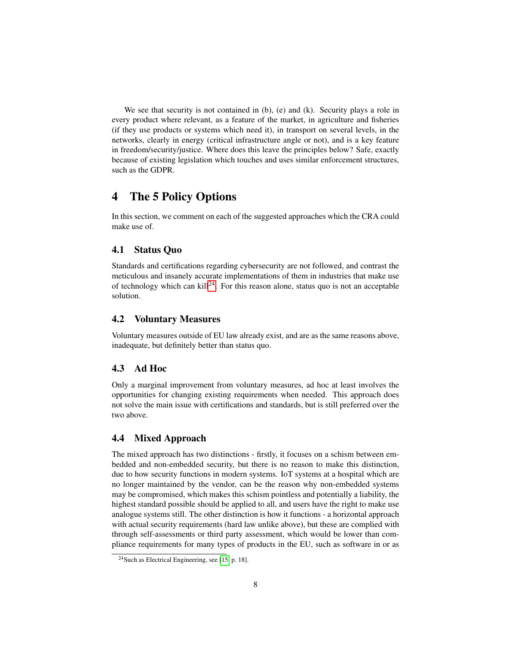We see that security is not contained in (b), (e) and (k). Security plays a role in every product where relevant, as a feature of the market, in agriculture and fisheries (if they use products or systems which need it), in transport on several levels, in the networks, clearly in energy (critical infrastructure angle or not), and is a key feature in freedom/security/justice. Where does this leave the principles below? Safe, exactly because of existing legislation which touches and uses similar enforcement structures, such as the GDPR.

# 4 The 5 Policy Options

In this section, we comment on each of the suggested approaches which the CRA could make use of.

### 4.1 Status Quo

Standards and certifications regarding cybersecurity are not followed, and contrast the meticulous and insanely accurate implementations of them in industries that make use of technology which can kill<sup>[24](#page-7-0)</sup>. For this reason alone, status quo is not an acceptable solution.

### 4.2 Voluntary Measures

Voluntary measures outside of EU law already exist, and are as the same reasons above, inadequate, but definitely better than status quo.

### 4.3 Ad Hoc

Only a marginal improvement from voluntary measures, ad hoc at least involves the opportunities for changing existing requirements when needed. This approach does not solve the main issue with certifications and standards, but is still preferred over the two above.

### 4.4 Mixed Approach

The mixed approach has two distinctions - firstly, it focuses on a schism between embedded and non-embedded security, but there is no reason to make this distinction, due to how security functions in modern systems. IoT systems at a hospital which are no longer maintained by the vendor, can be the reason why non-embedded systems may be compromised, which makes this schism pointless and potentially a liability, the highest standard possible should be applied to all, and users have the right to make use analogue systems still. The other distinction is how it functions - a horizontal approach with actual security requirements (hard law unlike above), but these are complied with through self-assessments or third party assessment, which would be lower than compliance requirements for many types of products in the EU, such as software in or as

<span id="page-7-0"></span><sup>24</sup>Such as Electrical Engineering, see [\[15,](#page-19-1) p. 18].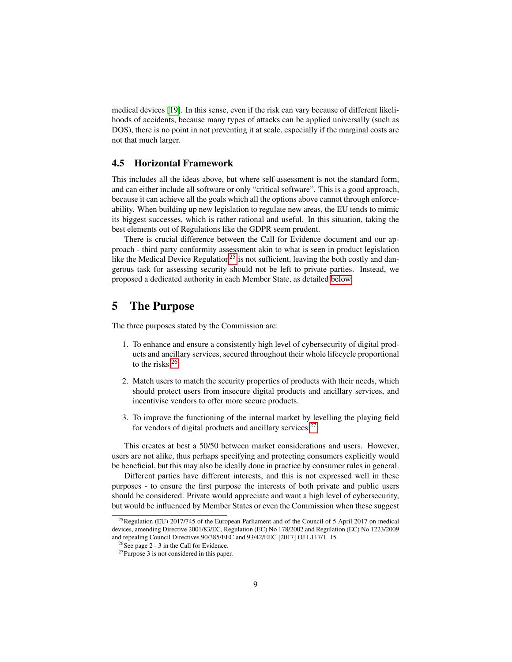medical devices [\[19\]](#page-19-7). In this sense, even if the risk can vary because of different likelihoods of accidents, because many types of attacks can be applied universally (such as DOS), there is no point in not preventing it at scale, especially if the marginal costs are not that much larger.

#### 4.5 Horizontal Framework

This includes all the ideas above, but where self-assessment is not the standard form, and can either include all software or only "critical software". This is a good approach, because it can achieve all the goals which all the options above cannot through enforceability. When building up new legislation to regulate new areas, the EU tends to mimic its biggest successes, which is rather rational and useful. In this situation, taking the best elements out of Regulations like the GDPR seem prudent.

There is crucial difference between the Call for Evidence document and our approach - third party conformity assessment akin to what is seen in product legislation like the Medical Device Regulation<sup>[25](#page-8-0)</sup> is not sufficient, leaving the both costly and dangerous task for assessing security should not be left to private parties. Instead, we proposed a dedicated authority in each Member State, as detailed [below.](#page-9-0)

# 5 The Purpose

The three purposes stated by the Commission are:

- 1. To enhance and ensure a consistently high level of cybersecurity of digital products and ancillary services, secured throughout their whole lifecycle proportional to the risks.[26](#page-8-1)
- 2. Match users to match the security properties of products with their needs, which should protect users from insecure digital products and ancillary services, and incentivise vendors to offer more secure products.
- 3. To improve the functioning of the internal market by levelling the playing field for vendors of digital products and ancillary services.<sup>[27](#page-8-2)</sup>

This creates at best a 50/50 between market considerations and users. However, users are not alike, thus perhaps specifying and protecting consumers explicitly would be beneficial, but this may also be ideally done in practice by consumer rules in general.

Different parties have different interests, and this is not expressed well in these purposes - to ensure the first purpose the interests of both private and public users should be considered. Private would appreciate and want a high level of cybersecurity, but would be influenced by Member States or even the Commission when these suggest

<span id="page-8-0"></span><sup>&</sup>lt;sup>25</sup>Regulation (EU) 2017/745 of the European Parliament and of the Council of 5 April 2017 on medical devices, amending Directive 2001/83/EC, Regulation (EC) No 178/2002 and Regulation (EC) No 1223/2009 and repealing Council Directives 90/385/EEC and 93/42/EEC [2017] OJ L117/1. 15.

<span id="page-8-1"></span><sup>26</sup>See page 2 - 3 in the Call for Evidence.

<span id="page-8-2"></span><sup>27</sup>Purpose 3 is not considered in this paper.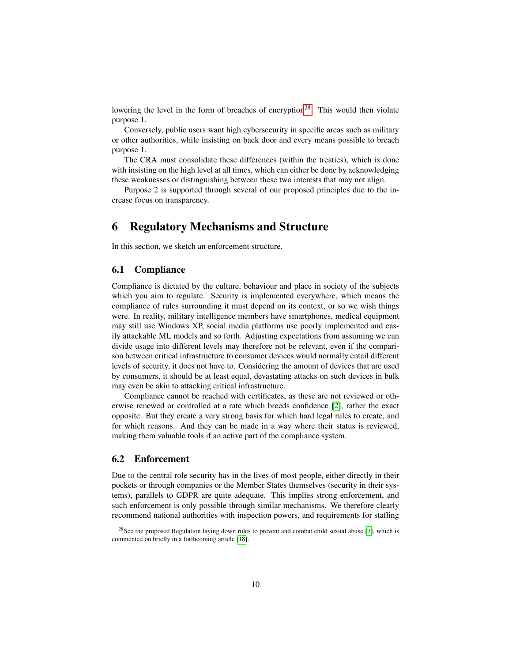lowering the level in the form of breaches of encryption<sup>[28](#page-9-1)</sup>. This would then violate purpose 1.

Conversely, public users want high cybersecurity in specific areas such as military or other authorities, while insisting on back door and every means possible to breach purpose 1.

The CRA must consolidate these differences (within the treaties), which is done with insisting on the high level at all times, which can either be done by acknowledging these weaknesses or distinguishing between these two interests that may not align.

Purpose 2 is supported through several of our proposed principles due to the increase focus on transparency.

# <span id="page-9-0"></span>6 Regulatory Mechanisms and Structure

In this section, we sketch an enforcement structure.

### 6.1 Compliance

Compliance is dictated by the culture, behaviour and place in society of the subjects which you aim to regulate. Security is implemented everywhere, which means the compliance of rules surrounding it must depend on its context, or so we wish things were. In reality, military intelligence members have smartphones, medical equipment may still use Windows XP, social media platforms use poorly implemented and easily attackable ML models and so forth. Adjusting expectations from assuming we can divide usage into different levels may therefore not be relevant, even if the comparison between critical infrastructure to consumer devices would normally entail different levels of security, it does not have to. Considering the amount of devices that are used by consumers, it should be at least equal, devastating attacks on such devices in bulk may even be akin to attacking critical infrastructure.

Compliance cannot be reached with certificates, as these are not reviewed or otherwise renewed or controlled at a rate which breeds confidence [\[2\]](#page-17-1), rather the exact opposite. But they create a very strong basis for which hard legal rules to create, and for which reasons. And they can be made in a way where their status is reviewed, making them valuable tools if an active part of the compliance system.

### 6.2 Enforcement

Due to the central role security has in the lives of most people, either directly in their pockets or through companies or the Member States themselves (security in their systems), parallels to GDPR are quite adequate. This implies strong enforcement, and such enforcement is only possible through similar mechanisms. We therefore clearly recommend national authorities with inspection powers, and requirements for staffing

<span id="page-9-1"></span><sup>&</sup>lt;sup>28</sup>See the proposed Regulation laying down rules to prevent and combat child sexual abuse [\[7\]](#page-18-4), which is commented on briefly in a forthcoming article [\[18\]](#page-19-8).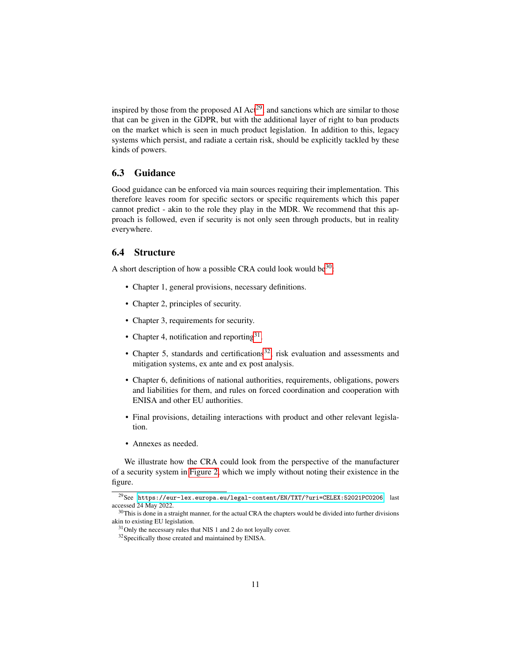inspired by those from the proposed AI  $Act^{29}$  $Act^{29}$  $Act^{29}$ , and sanctions which are similar to those that can be given in the GDPR, but with the additional layer of right to ban products on the market which is seen in much product legislation. In addition to this, legacy systems which persist, and radiate a certain risk, should be explicitly tackled by these kinds of powers.

### 6.3 Guidance

Good guidance can be enforced via main sources requiring their implementation. This therefore leaves room for specific sectors or specific requirements which this paper cannot predict - akin to the role they play in the MDR. We recommend that this approach is followed, even if security is not only seen through products, but in reality everywhere.

# 6.4 Structure

A short description of how a possible CRA could look would be  $30$ :

- Chapter 1, general provisions, necessary definitions.
- Chapter 2, principles of security.
- Chapter 3, requirements for security.
- Chapter 4, notification and reporting  $31$ .
- Chapter 5, standards and certifications<sup>[32](#page-10-3)</sup>, risk evaluation and assessments and mitigation systems, ex ante and ex post analysis.
- Chapter 6, definitions of national authorities, requirements, obligations, powers and liabilities for them, and rules on forced coordination and cooperation with ENISA and other EU authorities.
- Final provisions, detailing interactions with product and other relevant legislation.
- Annexes as needed.

We illustrate how the CRA could look from the perspective of the manufacturer of a security system in [Figure 2,](#page-22-0) which we imply without noting their existence in the figure.

<span id="page-10-0"></span><sup>29</sup>See <https://eur-lex.europa.eu/legal-content/EN/TXT/?uri=CELEX:52021PC0206>, last accessed 24 May 2022.

<span id="page-10-1"></span><sup>&</sup>lt;sup>30</sup>This is done in a straight manner, for the actual CRA the chapters would be divided into further divisions akin to existing EU legislation.

<span id="page-10-2"></span><sup>&</sup>lt;sup>31</sup>Only the necessary rules that NIS 1 and 2 do not loyally cover.

<span id="page-10-3"></span><sup>32</sup>Specifically those created and maintained by ENISA.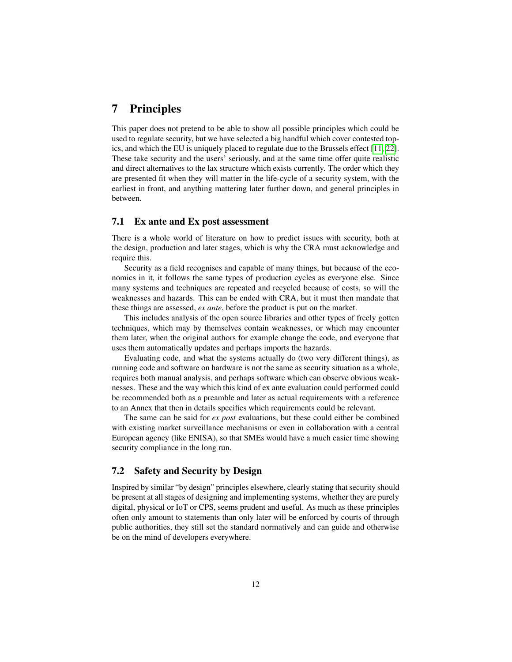# 7 Principles

This paper does not pretend to be able to show all possible principles which could be used to regulate security, but we have selected a big handful which cover contested topics, and which the EU is uniquely placed to regulate due to the Brussels effect [\[11,](#page-18-5) [22\]](#page-19-9). These take security and the users' seriously, and at the same time offer quite realistic and direct alternatives to the lax structure which exists currently. The order which they are presented fit when they will matter in the life-cycle of a security system, with the earliest in front, and anything mattering later further down, and general principles in between.

#### 7.1 Ex ante and Ex post assessment

There is a whole world of literature on how to predict issues with security, both at the design, production and later stages, which is why the CRA must acknowledge and require this.

Security as a field recognises and capable of many things, but because of the economics in it, it follows the same types of production cycles as everyone else. Since many systems and techniques are repeated and recycled because of costs, so will the weaknesses and hazards. This can be ended with CRA, but it must then mandate that these things are assessed, *ex ante*, before the product is put on the market.

This includes analysis of the open source libraries and other types of freely gotten techniques, which may by themselves contain weaknesses, or which may encounter them later, when the original authors for example change the code, and everyone that uses them automatically updates and perhaps imports the hazards.

Evaluating code, and what the systems actually do (two very different things), as running code and software on hardware is not the same as security situation as a whole, requires both manual analysis, and perhaps software which can observe obvious weaknesses. These and the way which this kind of ex ante evaluation could performed could be recommended both as a preamble and later as actual requirements with a reference to an Annex that then in details specifies which requirements could be relevant.

The same can be said for *ex post* evaluations, but these could either be combined with existing market surveillance mechanisms or even in collaboration with a central European agency (like ENISA), so that SMEs would have a much easier time showing security compliance in the long run.

## 7.2 Safety and Security by Design

Inspired by similar "by design" principles elsewhere, clearly stating that security should be present at all stages of designing and implementing systems, whether they are purely digital, physical or IoT or CPS, seems prudent and useful. As much as these principles often only amount to statements than only later will be enforced by courts of through public authorities, they still set the standard normatively and can guide and otherwise be on the mind of developers everywhere.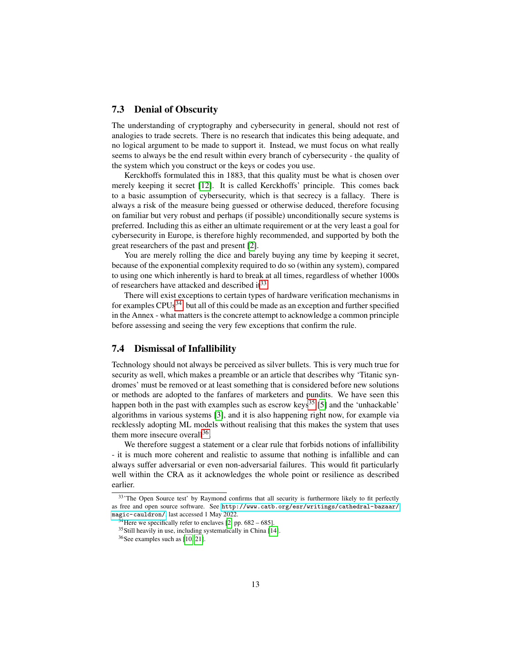### 7.3 Denial of Obscurity

The understanding of cryptography and cybersecurity in general, should not rest of analogies to trade secrets. There is no research that indicates this being adequate, and no logical argument to be made to support it. Instead, we must focus on what really seems to always be the end result within every branch of cybersecurity - the quality of the system which you construct or the keys or codes you use.

Kerckhoffs formulated this in 1883, that this quality must be what is chosen over merely keeping it secret [\[12\]](#page-18-6). It is called Kerckhoffs' principle. This comes back to a basic assumption of cybersecurity, which is that secrecy is a fallacy. There is always a risk of the measure being guessed or otherwise deduced, therefore focusing on familiar but very robust and perhaps (if possible) unconditionally secure systems is preferred. Including this as either an ultimate requirement or at the very least a goal for cybersecurity in Europe, is therefore highly recommended, and supported by both the great researchers of the past and present [\[2\]](#page-17-1).

You are merely rolling the dice and barely buying any time by keeping it secret, because of the exponential complexity required to do so (within any system), compared to using one which inherently is hard to break at all times, regardless of whether 1000s of researchers have attacked and described  $it^{33}$  $it^{33}$  $it^{33}$ .

There will exist exceptions to certain types of hardware verification mechanisms in for examples  $CPUs^{34}$  $CPUs^{34}$  $CPUs^{34}$ , but all of this could be made as an exception and further specified in the Annex - what matters is the concrete attempt to acknowledge a common principle before assessing and seeing the very few exceptions that confirm the rule.

### 7.4 Dismissal of Infallibility

Technology should not always be perceived as silver bullets. This is very much true for security as well, which makes a preamble or an article that describes why 'Titanic syndromes' must be removed or at least something that is considered before new solutions or methods are adopted to the fanfares of marketers and pundits. We have seen this happen both in the past with examples such as escrow keys<sup>[35](#page-12-2)</sup> [\[5\]](#page-18-7) and the 'unhackable' algorithms in various systems [\[3\]](#page-18-8), and it is also happening right now, for example via recklessly adopting ML models without realising that this makes the system that uses them more insecure overall $^{36}$  $^{36}$  $^{36}$ .

We therefore suggest a statement or a clear rule that forbids notions of infallibility - it is much more coherent and realistic to assume that nothing is infallible and can always suffer adversarial or even non-adversarial failures. This would fit particularly well within the CRA as it acknowledges the whole point or resilience as described earlier.

<span id="page-12-0"></span><sup>&</sup>lt;sup>33</sup>The Open Source test' by Raymond confirms that all security is furthermore likely to fit perfectly as free and open source software. See [http://www.catb.org/esr/writings/cathedral-bazaar/](http://www.catb.org/esr/writings/cathedral-bazaar/magic-cauldron/) [magic-cauldron/](http://www.catb.org/esr/writings/cathedral-bazaar/magic-cauldron/), last accessed 1 May 2022.

<span id="page-12-1"></span><sup>&</sup>lt;sup>34</sup>Here we specifically refer to enclaves [\[2,](#page-17-1) pp.  $682 - 685$ ].

<span id="page-12-2"></span> $35$ Still heavily in use, including systematically in China [\[14\]](#page-18-9).

<span id="page-12-3"></span> $36$ See examples such as [\[10,](#page-18-10) [21\]](#page-19-10).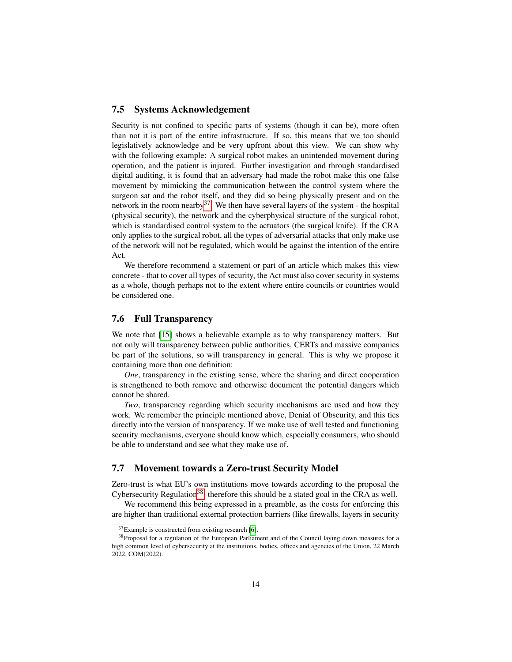### 7.5 Systems Acknowledgement

Security is not confined to specific parts of systems (though it can be), more often than not it is part of the entire infrastructure. If so, this means that we too should legislatively acknowledge and be very upfront about this view. We can show why with the following example: A surgical robot makes an unintended movement during operation, and the patient is injured. Further investigation and through standardised digital auditing, it is found that an adversary had made the robot make this one false movement by mimicking the communication between the control system where the surgeon sat and the robot itself, and they did so being physically present and on the network in the room nearby  $37$ . We then have several layers of the system - the hospital (physical security), the network and the cyberphysical structure of the surgical robot, which is standardised control system to the actuators (the surgical knife). If the CRA only applies to the surgical robot, all the types of adversarial attacks that only make use of the network will not be regulated, which would be against the intention of the entire Act.

We therefore recommend a statement or part of an article which makes this view concrete - that to cover all types of security, the Act must also cover security in systems as a whole, though perhaps not to the extent where entire councils or countries would be considered one.

## 7.6 Full Transparency

We note that [\[15\]](#page-19-1) shows a believable example as to why transparency matters. But not only will transparency between public authorities, CERTs and massive companies be part of the solutions, so will transparency in general. This is why we propose it containing more than one definition:

*One*, transparency in the existing sense, where the sharing and direct cooperation is strengthened to both remove and otherwise document the potential dangers which cannot be shared.

*Two*, transparency regarding which security mechanisms are used and how they work. We remember the principle mentioned above, Denial of Obscurity, and this ties directly into the version of transparency. If we make use of well tested and functioning security mechanisms, everyone should know which, especially consumers, who should be able to understand and see what they make use of.

# 7.7 Movement towards a Zero-trust Security Model

Zero-trust is what EU's own institutions move towards according to the proposal the Cybersecurity Regulation<sup>[38](#page-13-1)</sup>, therefore this should be a stated goal in the CRA as well.

We recommend this being expressed in a preamble, as the costs for enforcing this are higher than traditional external protection barriers (like firewalls, layers in security

<span id="page-13-1"></span><span id="page-13-0"></span><sup>37</sup>Example is constructed from existing research [\[6\]](#page-18-11).

<sup>&</sup>lt;sup>38</sup>Proposal for a regulation of the European Parliament and of the Council laying down measures for a high common level of cybersecurity at the institutions, bodies, offices and agencies of the Union, 22 March 2022, COM(2022).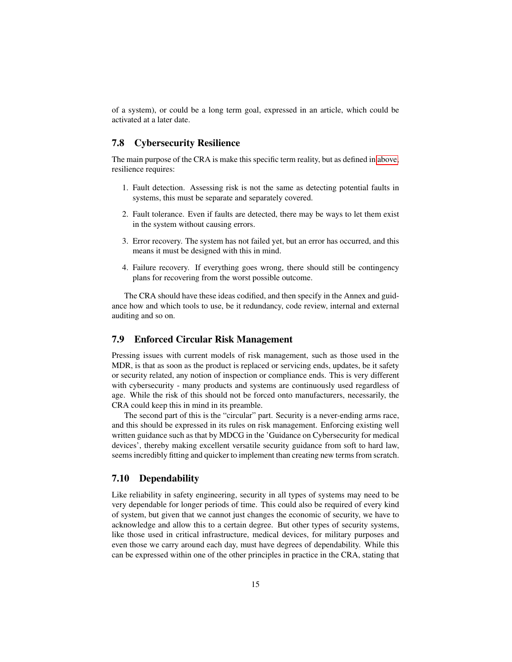of a system), or could be a long term goal, expressed in an article, which could be activated at a later date.

## 7.8 Cybersecurity Resilience

The main purpose of the CRA is make this specific term reality, but as defined in [above,](#page-5-0) resilience requires:

- 1. Fault detection. Assessing risk is not the same as detecting potential faults in systems, this must be separate and separately covered.
- 2. Fault tolerance. Even if faults are detected, there may be ways to let them exist in the system without causing errors.
- 3. Error recovery. The system has not failed yet, but an error has occurred, and this means it must be designed with this in mind.
- 4. Failure recovery. If everything goes wrong, there should still be contingency plans for recovering from the worst possible outcome.

The CRA should have these ideas codified, and then specify in the Annex and guidance how and which tools to use, be it redundancy, code review, internal and external auditing and so on.

### 7.9 Enforced Circular Risk Management

Pressing issues with current models of risk management, such as those used in the MDR, is that as soon as the product is replaced or servicing ends, updates, be it safety or security related, any notion of inspection or compliance ends. This is very different with cybersecurity - many products and systems are continuously used regardless of age. While the risk of this should not be forced onto manufacturers, necessarily, the CRA could keep this in mind in its preamble.

The second part of this is the "circular" part. Security is a never-ending arms race, and this should be expressed in its rules on risk management. Enforcing existing well written guidance such as that by MDCG in the 'Guidance on Cybersecurity for medical devices', thereby making excellent versatile security guidance from soft to hard law, seems incredibly fitting and quicker to implement than creating new terms from scratch.

#### 7.10 Dependability

Like reliability in safety engineering, security in all types of systems may need to be very dependable for longer periods of time. This could also be required of every kind of system, but given that we cannot just changes the economic of security, we have to acknowledge and allow this to a certain degree. But other types of security systems, like those used in critical infrastructure, medical devices, for military purposes and even those we carry around each day, must have degrees of dependability. While this can be expressed within one of the other principles in practice in the CRA, stating that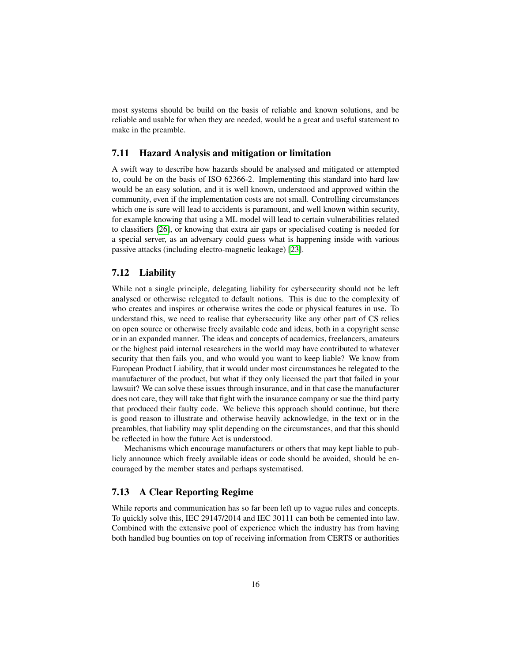most systems should be build on the basis of reliable and known solutions, and be reliable and usable for when they are needed, would be a great and useful statement to make in the preamble.

### 7.11 Hazard Analysis and mitigation or limitation

A swift way to describe how hazards should be analysed and mitigated or attempted to, could be on the basis of ISO 62366-2. Implementing this standard into hard law would be an easy solution, and it is well known, understood and approved within the community, even if the implementation costs are not small. Controlling circumstances which one is sure will lead to accidents is paramount, and well known within security, for example knowing that using a ML model will lead to certain vulnerabilities related to classifiers [\[26\]](#page-19-11), or knowing that extra air gaps or specialised coating is needed for a special server, as an adversary could guess what is happening inside with various passive attacks (including electro-magnetic leakage) [\[23\]](#page-19-12).

### 7.12 Liability

While not a single principle, delegating liability for cybersecurity should not be left analysed or otherwise relegated to default notions. This is due to the complexity of who creates and inspires or otherwise writes the code or physical features in use. To understand this, we need to realise that cybersecurity like any other part of CS relies on open source or otherwise freely available code and ideas, both in a copyright sense or in an expanded manner. The ideas and concepts of academics, freelancers, amateurs or the highest paid internal researchers in the world may have contributed to whatever security that then fails you, and who would you want to keep liable? We know from European Product Liability, that it would under most circumstances be relegated to the manufacturer of the product, but what if they only licensed the part that failed in your lawsuit? We can solve these issues through insurance, and in that case the manufacturer does not care, they will take that fight with the insurance company or sue the third party that produced their faulty code. We believe this approach should continue, but there is good reason to illustrate and otherwise heavily acknowledge, in the text or in the preambles, that liability may split depending on the circumstances, and that this should be reflected in how the future Act is understood.

Mechanisms which encourage manufacturers or others that may kept liable to publicly announce which freely available ideas or code should be avoided, should be encouraged by the member states and perhaps systematised.

### 7.13 A Clear Reporting Regime

While reports and communication has so far been left up to vague rules and concepts. To quickly solve this, IEC 29147/2014 and IEC 30111 can both be cemented into law. Combined with the extensive pool of experience which the industry has from having both handled bug bounties on top of receiving information from CERTS or authorities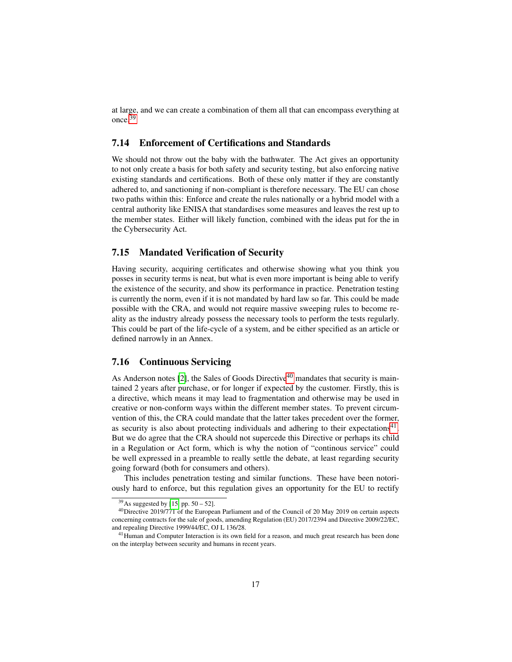at large, and we can create a combination of them all that can encompass everything at once.[39](#page-16-0)

#### 7.14 Enforcement of Certifications and Standards

We should not throw out the baby with the bathwater. The Act gives an opportunity to not only create a basis for both safety and security testing, but also enforcing native existing standards and certifications. Both of these only matter if they are constantly adhered to, and sanctioning if non-compliant is therefore necessary. The EU can chose two paths within this: Enforce and create the rules nationally or a hybrid model with a central authority like ENISA that standardises some measures and leaves the rest up to the member states. Either will likely function, combined with the ideas put for the in the Cybersecurity Act.

### 7.15 Mandated Verification of Security

Having security, acquiring certificates and otherwise showing what you think you posses in security terms is neat, but what is even more important is being able to verify the existence of the security, and show its performance in practice. Penetration testing is currently the norm, even if it is not mandated by hard law so far. This could be made possible with the CRA, and would not require massive sweeping rules to become reality as the industry already possess the necessary tools to perform the tests regularly. This could be part of the life-cycle of a system, and be either specified as an article or defined narrowly in an Annex.

### 7.16 Continuous Servicing

As Anderson notes [\[2\]](#page-17-1), the Sales of Goods Directive<sup>[40](#page-16-1)</sup> mandates that security is maintained 2 years after purchase, or for longer if expected by the customer. Firstly, this is a directive, which means it may lead to fragmentation and otherwise may be used in creative or non-conform ways within the different member states. To prevent circumvention of this, the CRA could mandate that the latter takes precedent over the former, as security is also about protecting individuals and adhering to their expectations $41$ . But we do agree that the CRA should not supercede this Directive or perhaps its child in a Regulation or Act form, which is why the notion of "continous service" could be well expressed in a preamble to really settle the debate, at least regarding security going forward (both for consumers and others).

This includes penetration testing and similar functions. These have been notoriously hard to enforce, but this regulation gives an opportunity for the EU to rectify

<span id="page-16-1"></span><span id="page-16-0"></span> $39$ As suggested by [\[15,](#page-19-1) pp. 50 – 52].

<sup>40</sup>Directive 2019/771 of the European Parliament and of the Council of 20 May 2019 on certain aspects concerning contracts for the sale of goods, amending Regulation (EU) 2017/2394 and Directive 2009/22/EC, and repealing Directive 1999/44/EC, OJ L 136/28.

<span id="page-16-2"></span><sup>&</sup>lt;sup>41</sup>Human and Computer Interaction is its own field for a reason, and much great research has been done on the interplay between security and humans in recent years.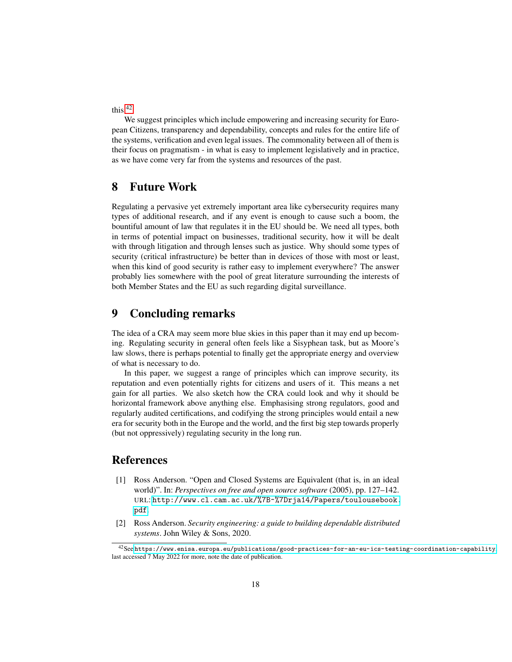this.[42](#page-17-2)

We suggest principles which include empowering and increasing security for European Citizens, transparency and dependability, concepts and rules for the entire life of the systems, verification and even legal issues. The commonality between all of them is their focus on pragmatism - in what is easy to implement legislatively and in practice, as we have come very far from the systems and resources of the past.

# 8 Future Work

Regulating a pervasive yet extremely important area like cybersecurity requires many types of additional research, and if any event is enough to cause such a boom, the bountiful amount of law that regulates it in the EU should be. We need all types, both in terms of potential impact on businesses, traditional security, how it will be dealt with through litigation and through lenses such as justice. Why should some types of security (critical infrastructure) be better than in devices of those with most or least, when this kind of good security is rather easy to implement everywhere? The answer probably lies somewhere with the pool of great literature surrounding the interests of both Member States and the EU as such regarding digital surveillance.

# 9 Concluding remarks

The idea of a CRA may seem more blue skies in this paper than it may end up becoming. Regulating security in general often feels like a Sisyphean task, but as Moore's law slows, there is perhaps potential to finally get the appropriate energy and overview of what is necessary to do.

In this paper, we suggest a range of principles which can improve security, its reputation and even potentially rights for citizens and users of it. This means a net gain for all parties. We also sketch how the CRA could look and why it should be horizontal framework above anything else. Emphasising strong regulators, good and regularly audited certifications, and codifying the strong principles would entail a new era for security both in the Europe and the world, and the first big step towards properly (but not oppressively) regulating security in the long run.

# References

- <span id="page-17-0"></span>[1] Ross Anderson. "Open and Closed Systems are Equivalent (that is, in an ideal world)". In: *Perspectives on free and open source software* (2005), pp. 127–142. URL: [http://www.cl.cam.ac.uk/%7B~%7Drja14/Papers/toulousebook.](http://www.cl.cam.ac.uk/%7B~%7Drja14/Papers/toulousebook.pdf) [pdf](http://www.cl.cam.ac.uk/%7B~%7Drja14/Papers/toulousebook.pdf).
- <span id="page-17-1"></span>[2] Ross Anderson. *Security engineering: a guide to building dependable distributed systems*. John Wiley & Sons, 2020.

<span id="page-17-2"></span><sup>42</sup>See <https://www.enisa.europa.eu/publications/good-practices-for-an-eu-ics-testing-coordination-capability>, last accessed 7 May 2022 for more, note the date of publication.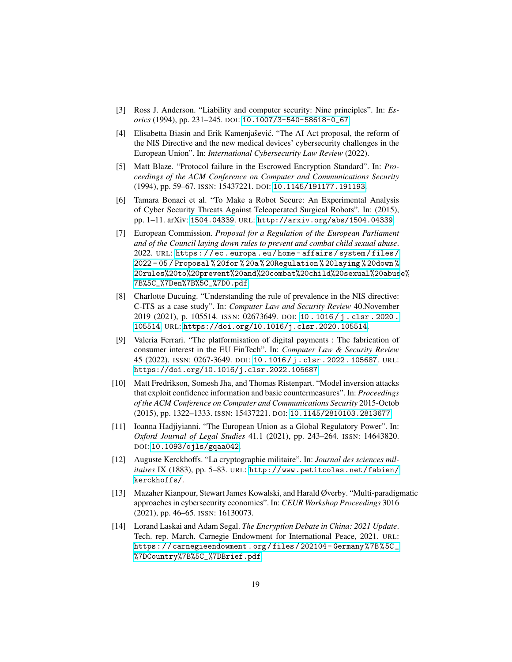- <span id="page-18-8"></span>[3] Ross J. Anderson. "Liability and computer security: Nine principles". In: *Esorics* (1994), pp. 231–245. DOI: [10.1007/3-540-58618-0\\_67](https://doi.org/10.1007/3-540-58618-0_67).
- <span id="page-18-2"></span>[4] Elisabetta Biasin and Erik Kamenjašević. "The AI Act proposal, the reform of the NIS Directive and the new medical devices' cybersecurity challenges in the European Union". In: *International Cybersecurity Law Review* (2022).
- <span id="page-18-7"></span>[5] Matt Blaze. "Protocol failure in the Escrowed Encryption Standard". In: *Proceedings of the ACM Conference on Computer and Communications Security* (1994), pp. 59–67. ISSN: 15437221. DOI: [10.1145/191177.191193](https://doi.org/10.1145/191177.191193).
- <span id="page-18-11"></span>[6] Tamara Bonaci et al. "To Make a Robot Secure: An Experimental Analysis of Cyber Security Threats Against Teleoperated Surgical Robots". In: (2015), pp. 1–11. arXiv: [1504.04339](https://arxiv.org/abs/1504.04339). URL: <http://arxiv.org/abs/1504.04339>.
- <span id="page-18-4"></span>[7] European Commission. *Proposal for a Regulation of the European Parliament and of the Council laying down rules to prevent and combat child sexual abuse*. 2022. URL: [https : / / ec . europa . eu / home - affairs / system / files /](https://ec.europa.eu/home-affairs/system/files/2022-05/Proposal%20for%20a%20Regulation%20laying%20down%20rules%20to%20prevent%20and%20combat%20child%20sexual%20abuse%7B%5C_%7Den%7B%5C_%7D0.pdf) [2022 - 05 / Proposal % 20for % 20a % 20Regulation % 20laying % 20down %](https://ec.europa.eu/home-affairs/system/files/2022-05/Proposal%20for%20a%20Regulation%20laying%20down%20rules%20to%20prevent%20and%20combat%20child%20sexual%20abuse%7B%5C_%7Den%7B%5C_%7D0.pdf) [20rules%20to%20prevent%20and%20combat%20child%20sexual%20abus](https://ec.europa.eu/home-affairs/system/files/2022-05/Proposal%20for%20a%20Regulation%20laying%20down%20rules%20to%20prevent%20and%20combat%20child%20sexual%20abuse%7B%5C_%7Den%7B%5C_%7D0.pdf)e% [7B%5C\\_%7Den%7B%5C\\_%7D0.pdf](https://ec.europa.eu/home-affairs/system/files/2022-05/Proposal%20for%20a%20Regulation%20laying%20down%20rules%20to%20prevent%20and%20combat%20child%20sexual%20abuse%7B%5C_%7Den%7B%5C_%7D0.pdf).
- <span id="page-18-3"></span>[8] Charlotte Ducuing. "Understanding the rule of prevalence in the NIS directive: C-ITS as a case study". In: *Computer Law and Security Review* 40.November 2019 (2021), p. 105514. ISSN: 02673649. DOI: [10 . 1016 / j . clsr . 2020 .](https://doi.org/10.1016/j.clsr.2020.105514) [105514](https://doi.org/10.1016/j.clsr.2020.105514). URL: <https://doi.org/10.1016/j.clsr.2020.105514>.
- <span id="page-18-1"></span>[9] Valeria Ferrari. "The platformisation of digital payments : The fabrication of consumer interest in the EU FinTech". In: *Computer Law & Security Review* 45 (2022). ISSN: 0267-3649. DOI: [10 . 1016 / j . clsr . 2022 . 105687](https://doi.org/10.1016/j.clsr.2022.105687). URL: <https://doi.org/10.1016/j.clsr.2022.105687>.
- <span id="page-18-10"></span>[10] Matt Fredrikson, Somesh Jha, and Thomas Ristenpart. "Model inversion attacks that exploit confidence information and basic countermeasures". In: *Proceedings of the ACM Conference on Computer and Communications Security* 2015-Octob (2015), pp. 1322–1333. ISSN: 15437221. DOI: [10.1145/2810103.2813677](https://doi.org/10.1145/2810103.2813677).
- <span id="page-18-5"></span>[11] Ioanna Hadjiyianni. "The European Union as a Global Regulatory Power". In: *Oxford Journal of Legal Studies* 41.1 (2021), pp. 243–264. ISSN: 14643820. DOI: [10.1093/ojls/gqaa042](https://doi.org/10.1093/ojls/gqaa042).
- <span id="page-18-6"></span>[12] Auguste Kerckhoffs. "La cryptographie militaire". In: *Journal des sciences militaires* IX (1883), pp. 5–83. URL: [http://www.petitcolas.net/fabien/](http://www.petitcolas.net/fabien/kerckhoffs/) [kerckhoffs/](http://www.petitcolas.net/fabien/kerckhoffs/).
- <span id="page-18-0"></span>[13] Mazaher Kianpour, Stewart James Kowalski, and Harald Øverby. "Multi-paradigmatic approaches in cybersecurity economics". In: *CEUR Workshop Proceedings* 3016 (2021), pp. 46–65. ISSN: 16130073.
- <span id="page-18-9"></span>[14] Lorand Laskai and Adam Segal. *The Encryption Debate in China: 2021 Update*. Tech. rep. March. Carnegie Endowment for International Peace, 2021. URL: [https : / / carnegieendowment . org / files / 202104 - Germany % 7B % 5C \\_](https://carnegieendowment.org/files/202104-Germany%7B%5C_%7DCountry%7B%5C_%7DBrief.pdf) [%7DCountry%7B%5C\\_%7DBrief.pdf](https://carnegieendowment.org/files/202104-Germany%7B%5C_%7DCountry%7B%5C_%7DBrief.pdf).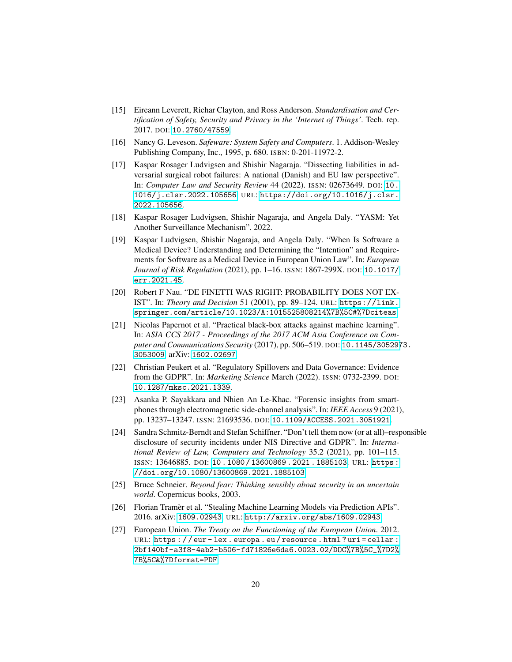- <span id="page-19-1"></span>[15] Eireann Leverett, Richar Clayton, and Ross Anderson. *Standardisation and Certification of Safety, Security and Privacy in the 'Internet of Things'*. Tech. rep. 2017. DOI: [10.2760/47559](https://doi.org/10.2760/47559).
- <span id="page-19-3"></span>[16] Nancy G. Leveson. *Safeware: System Safety and Computers*. 1. Addison-Wesley Publishing Company, Inc., 1995, p. 680. ISBN: 0-201-11972-2.
- <span id="page-19-4"></span>[17] Kaspar Rosager Ludvigsen and Shishir Nagaraja. "Dissecting liabilities in adversarial surgical robot failures: A national (Danish) and EU law perspective". In: *Computer Law and Security Review* 44 (2022). ISSN: 02673649. DOI: [10.](https://doi.org/10.1016/j.clsr.2022.105656) [1016/j.clsr.2022.105656](https://doi.org/10.1016/j.clsr.2022.105656). URL: [https://doi.org/10.1016/j.clsr.](https://doi.org/10.1016/j.clsr.2022.105656) [2022.105656](https://doi.org/10.1016/j.clsr.2022.105656).
- <span id="page-19-8"></span>[18] Kaspar Rosager Ludvigsen, Shishir Nagaraja, and Angela Daly. "YASM: Yet Another Surveillance Mechanism". 2022.
- <span id="page-19-7"></span>[19] Kaspar Ludvigsen, Shishir Nagaraja, and Angela Daly. "When Is Software a Medical Device? Understanding and Determining the "Intention" and Requirements for Software as a Medical Device in European Union Law". In: *European Journal of Risk Regulation* (2021), pp. 1–16. ISSN: 1867-299X. DOI: [10.1017/](https://doi.org/10.1017/err.2021.45) [err.2021.45](https://doi.org/10.1017/err.2021.45).
- <span id="page-19-5"></span>[20] Robert F Nau. "DE FINETTI WAS RIGHT: PROBABILITY DOES NOT EX-IST". In: *Theory and Decision* 51 (2001), pp. 89–124. URL: [https://link.](https://link.springer.com/article/10.1023/A:1015525808214%7B%5C#%7Dciteas) [springer.com/article/10.1023/A:1015525808214%7B%5C#%7Dciteas](https://link.springer.com/article/10.1023/A:1015525808214%7B%5C#%7Dciteas).
- <span id="page-19-10"></span>[21] Nicolas Papernot et al. "Practical black-box attacks against machine learning". In: *ASIA CCS 2017 - Proceedings of the 2017 ACM Asia Conference on Computer and Communications Security* (2017), pp. 506–519. DOI: [10.1145/305297](https://doi.org/10.1145/3052973.3053009)3. [3053009](https://doi.org/10.1145/3052973.3053009). arXiv: [1602.02697](https://arxiv.org/abs/1602.02697).
- <span id="page-19-9"></span>[22] Christian Peukert et al. "Regulatory Spillovers and Data Governance: Evidence from the GDPR". In: *Marketing Science* March (2022). ISSN: 0732-2399. DOI: [10.1287/mksc.2021.1339](https://doi.org/10.1287/mksc.2021.1339).
- <span id="page-19-12"></span>[23] Asanka P. Sayakkara and Nhien An Le-Khac. "Forensic insights from smartphones through electromagnetic side-channel analysis". In: *IEEE Access* 9 (2021), pp. 13237–13247. ISSN: 21693536. DOI: [10.1109/ACCESS.2021.3051921](https://doi.org/10.1109/ACCESS.2021.3051921).
- <span id="page-19-2"></span>[24] Sandra Schmitz-Berndt and Stefan Schiffner. "Don't tell them now (or at all)–responsible disclosure of security incidents under NIS Directive and GDPR". In: *International Review of Law, Computers and Technology* 35.2 (2021), pp. 101–115. ISSN: 13646885. DOI: [10 . 1080 / 13600869 . 2021 . 1885103](https://doi.org/10.1080/13600869.2021.1885103). URL: [https :](https://doi.org/10.1080/13600869.2021.1885103) [//doi.org/10.1080/13600869.2021.1885103](https://doi.org/10.1080/13600869.2021.1885103).
- <span id="page-19-0"></span>[25] Bruce Schneier. *Beyond fear: Thinking sensibly about security in an uncertain world*. Copernicus books, 2003.
- <span id="page-19-11"></span>[26] Florian Tramer et al. "Stealing Machine Learning Models via Prediction APIs". 2016. arXiv: [1609.02943](https://arxiv.org/abs/1609.02943). URL: <http://arxiv.org/abs/1609.02943>.
- <span id="page-19-6"></span>[27] European Union. *The Treaty on the Functioning of the European Union*. 2012. URL: https : //eur-lex.europa.eu/resource.html?uri=cellar: [2bf140bf-a3f8-4ab2-b506-fd71826e6da6.0023.02/DOC%7B%5C\\_%7D2%](https://eur-lex.europa.eu/resource.html?uri=cellar:2bf140bf-a3f8-4ab2-b506-fd71826e6da6.0023.02/DOC%7B%5C_%7D2%7B%5C&%7Dformat=PDF) [7B%5C&%7Dformat=PDF](https://eur-lex.europa.eu/resource.html?uri=cellar:2bf140bf-a3f8-4ab2-b506-fd71826e6da6.0023.02/DOC%7B%5C_%7D2%7B%5C&%7Dformat=PDF).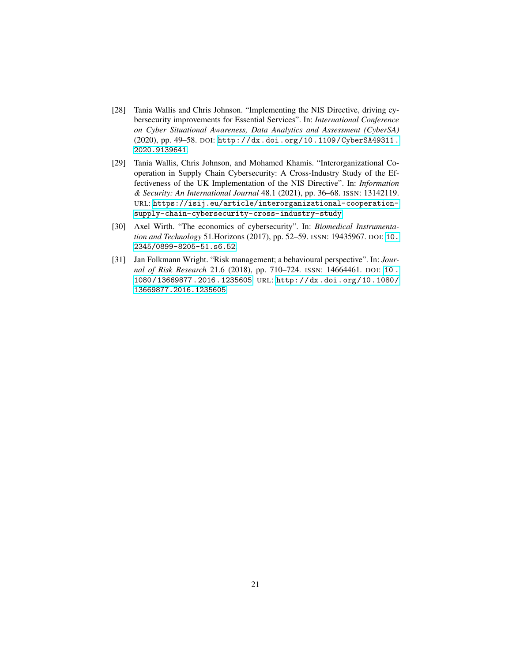- <span id="page-20-2"></span>[28] Tania Wallis and Chris Johnson. "Implementing the NIS Directive, driving cybersecurity improvements for Essential Services". In: *International Conference on Cyber Situational Awareness, Data Analytics and Assessment (CyberSA)* (2020), pp. 49–58. DOI: [http://dx.doi.org/10.1109/CyberSA49311.](https://doi.org/http://dx.doi.org/10.1109/CyberSA49311.2020.9139641) [2020.9139641](https://doi.org/http://dx.doi.org/10.1109/CyberSA49311.2020.9139641).
- <span id="page-20-3"></span>[29] Tania Wallis, Chris Johnson, and Mohamed Khamis. "Interorganizational Cooperation in Supply Chain Cybersecurity: A Cross-Industry Study of the Effectiveness of the UK Implementation of the NIS Directive". In: *Information & Security: An International Journal* 48.1 (2021), pp. 36–68. ISSN: 13142119. URL: [https://isij.eu/article/interorganizational-cooperation](https://isij.eu/article/interorganizational-cooperation-supply-chain-cybersecurity-cross-industry-study)[supply-chain-cybersecurity-cross-industry-study](https://isij.eu/article/interorganizational-cooperation-supply-chain-cybersecurity-cross-industry-study).
- <span id="page-20-0"></span>[30] Axel Wirth. "The economics of cybersecurity". In: *Biomedical Instrumentation and Technology* 51.Horizons (2017), pp. 52–59. ISSN: 19435967. DOI: [10.](https://doi.org/10.2345/0899-8205-51.s6.52) [2345/0899-8205-51.s6.52](https://doi.org/10.2345/0899-8205-51.s6.52).
- <span id="page-20-1"></span>[31] Jan Folkmann Wright. "Risk management; a behavioural perspective". In: *Journal of Risk Research* 21.6 (2018), pp. 710–724. ISSN: 14664461. DOI: [10 .](https://doi.org/10.1080/13669877.2016.1235605) [1080/13669877.2016.1235605](https://doi.org/10.1080/13669877.2016.1235605). URL: [http://dx.doi.org/10.1080/](http://dx.doi.org/10.1080/13669877.2016.1235605) [13669877.2016.1235605](http://dx.doi.org/10.1080/13669877.2016.1235605).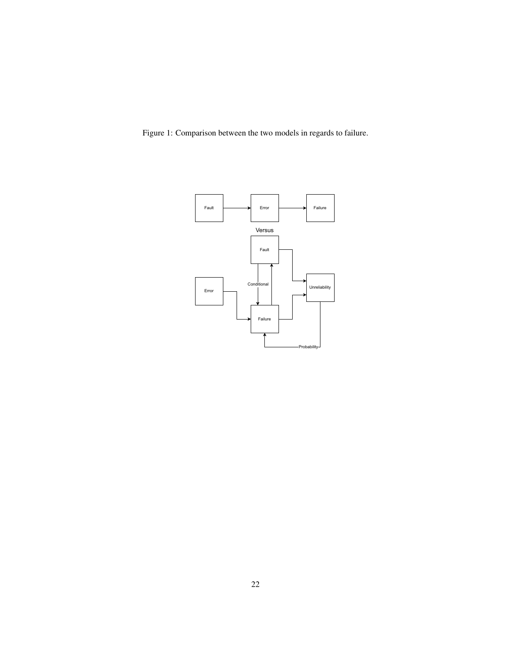<span id="page-21-0"></span>Figure 1: Comparison between the two models in regards to failure.